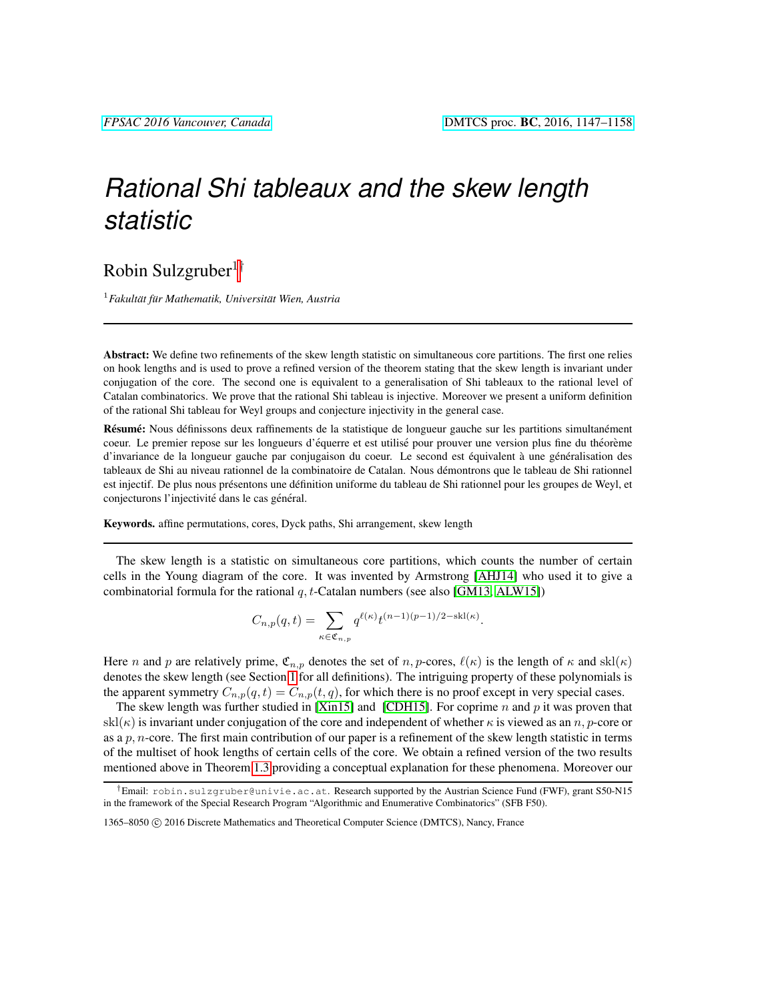# *Rational Shi tableaux and the skew length statistic*

# Robin Sulzgruber<sup>1†</sup>

<sup>1</sup> Fakultät für Mathematik, Universität Wien, Austria

Abstract: We define two refinements of the skew length statistic on simultaneous core partitions. The first one relies on hook lengths and is used to prove a refined version of the theorem stating that the skew length is invariant under conjugation of the core. The second one is equivalent to a generalisation of Shi tableaux to the rational level of Catalan combinatorics. We prove that the rational Shi tableau is injective. Moreover we present a uniform definition of the rational Shi tableau for Weyl groups and conjecture injectivity in the general case.

Résumé: Nous définissons deux raffinements de la statistique de longueur gauche sur les partitions simultanément coeur. Le premier repose sur les longueurs d'équerre et est utilisé pour prouver une version plus fine du théorème d'invariance de la longueur gauche par conjugaison du coeur. Le second est équivalent à une généralisation des tableaux de Shi au niveau rationnel de la combinatoire de Catalan. Nous demontrons que le tableau de Shi rationnel ´ est injectif. De plus nous présentons une définition uniforme du tableau de Shi rationnel pour les groupes de Weyl, et conjecturons l'injectivité dans le cas général.

Keywords. affine permutations, cores, Dyck paths, Shi arrangement, skew length

The skew length is a statistic on simultaneous core partitions, which counts the number of certain cells in the Young diagram of the core. It was invented by Armstrong [\[AHJ14\]](#page-10-0) who used it to give a combinatorial formula for the rational  $q$ , t-Catalan numbers (see also [\[GM13,](#page-11-0) [ALW15\]](#page-10-1))

$$
C_{n,p}(q,t) = \sum_{\kappa \in \mathfrak{C}_{n,p}} q^{\ell(\kappa)} t^{(n-1)(p-1)/2 - \text{skl}(\kappa)}.
$$

Here n and p are relatively prime,  $\mathfrak{C}_{n,p}$  denotes the set of n, p-cores,  $\ell(\kappa)$  is the length of  $\kappa$  and skl( $\kappa$ ) denotes the skew length (see Section [1](#page-1-0) for all definitions). The intriguing property of these polynomials is the apparent symmetry  $C_{n,p}(q, t) = C_{n,p}(t, q)$ , for which there is no proof except in very special cases.

The skew length was further studied in [\[Xin15\]](#page-11-1) and [\[CDH15\]](#page-11-2). For coprime n and p it was proven that skl( $\kappa$ ) is invariant under conjugation of the core and independent of whether  $\kappa$  is viewed as an n, p-core or as a  $p, n$ -core. The first main contribution of our paper is a refinement of the skew length statistic in terms of the multiset of hook lengths of certain cells of the core. We obtain a refined version of the two results mentioned above in Theorem [1.3](#page-3-0) providing a conceptual explanation for these phenomena. Moreover our

<sup>†</sup>Email: robin.sulzgruber@univie.ac.at. Research supported by the Austrian Science Fund (FWF), grant S50-N15 in the framework of the Special Research Program "Algorithmic and Enumerative Combinatorics" (SFB F50).

<sup>1365–8050 © 2016</sup> Discrete Mathematics and Theoretical Computer Science (DMTCS), Nancy, France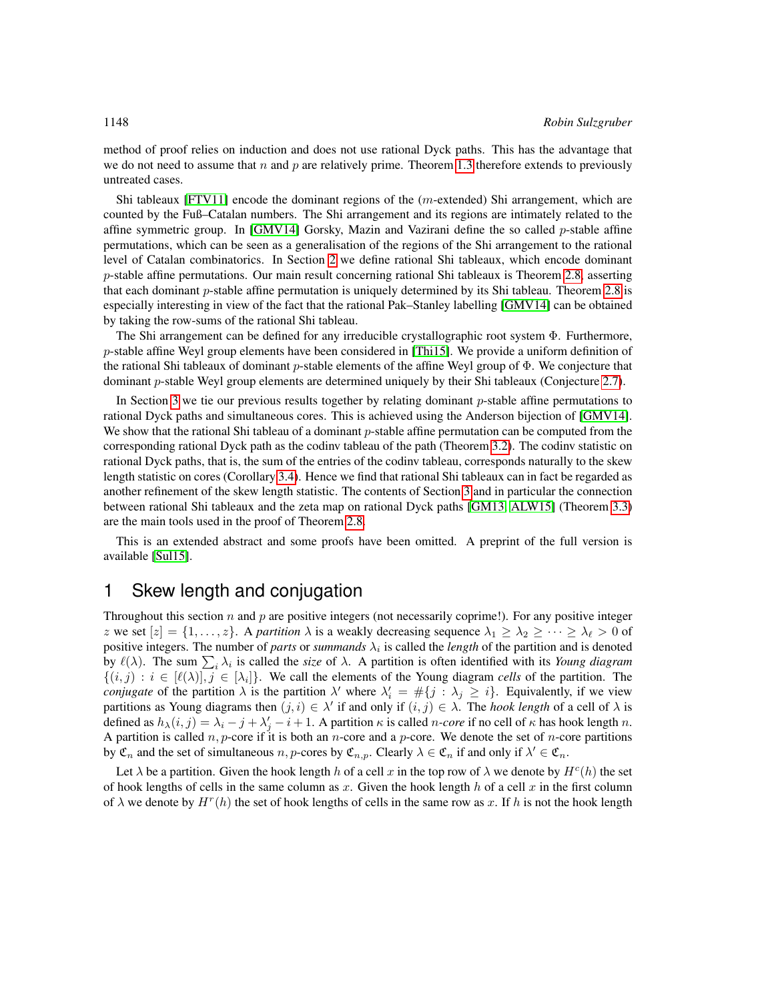method of proof relies on induction and does not use rational Dyck paths. This has the advantage that we do not need to assume that n and p are relatively prime. Theorem [1.3](#page-3-0) therefore extends to previously untreated cases.

Shi tableaux [\[FTV11\]](#page-11-3) encode the dominant regions of the (m-extended) Shi arrangement, which are counted by the Fuß–Catalan numbers. The Shi arrangement and its regions are intimately related to the affine symmetric group. In [\[GMV14\]](#page-11-4) Gorsky, Mazin and Vazirani define the so called  $p$ -stable affine permutations, which can be seen as a generalisation of the regions of the Shi arrangement to the rational level of Catalan combinatorics. In Section [2](#page-4-0) we define rational Shi tableaux, which encode dominant p-stable affine permutations. Our main result concerning rational Shi tableaux is Theorem [2.8,](#page-7-0) asserting that each dominant  $p$ -stable affine permutation is uniquely determined by its Shi tableau. Theorem [2.8](#page-7-0) is especially interesting in view of the fact that the rational Pak–Stanley labelling [\[GMV14\]](#page-11-4) can be obtained by taking the row-sums of the rational Shi tableau.

The Shi arrangement can be defined for any irreducible crystallographic root system Φ. Furthermore,  $p$ -stable affine Weyl group elements have been considered in [\[Thi15\]](#page-11-5). We provide a uniform definition of the rational Shi tableaux of dominant p-stable elements of the affine Weyl group of  $\Phi$ . We conjecture that dominant p-stable Weyl group elements are determined uniquely by their Shi tableaux (Conjecture [2.7\)](#page-6-0).

In Section [3](#page-8-0) we tie our previous results together by relating dominant p-stable affine permutations to rational Dyck paths and simultaneous cores. This is achieved using the Anderson bijection of [\[GMV14\]](#page-11-4). We show that the rational Shi tableau of a dominant p-stable affine permutation can be computed from the corresponding rational Dyck path as the codinv tableau of the path (Theorem [3.2\)](#page-9-0). The codinv statistic on rational Dyck paths, that is, the sum of the entries of the codinv tableau, corresponds naturally to the skew length statistic on cores (Corollary [3.4\)](#page-10-2). Hence we find that rational Shi tableaux can in fact be regarded as another refinement of the skew length statistic. The contents of Section [3](#page-8-0) and in particular the connection between rational Shi tableaux and the zeta map on rational Dyck paths [\[GM13,](#page-11-0) [ALW15\]](#page-10-1) (Theorem [3.3\)](#page-10-3) are the main tools used in the proof of Theorem [2.8.](#page-7-0)

This is an extended abstract and some proofs have been omitted. A preprint of the full version is available [\[Sul15\]](#page-11-6).

## <span id="page-1-0"></span>1 Skew length and conjugation

Throughout this section  $n$  and  $p$  are positive integers (not necessarily coprime!). For any positive integer z we set  $[z] = \{1, \ldots, z\}$ . A *partition*  $\lambda$  is a weakly decreasing sequence  $\lambda_1 \geq \lambda_2 \geq \cdots \geq \lambda_\ell > 0$  of positive integers. The number of *parts* or *summands*  $\lambda_i$  is called the *length* of the partition and is denoted by  $\ell(\lambda)$ . The sum  $\sum_i \lambda_i$  is called the *size* of  $\lambda$ . A partition is often identified with its *Young diagram*  $\{(i,j): i \in [\ell(\lambda)], j \in [\lambda_i]\}$ . We call the elements of the Young diagram *cells* of the partition. The *conjugate* of the partition  $\lambda$  is the partition  $\lambda'$  where  $\lambda'_i = #\{j : \lambda_j \geq i\}$ . Equivalently, if we view partitions as Young diagrams then  $(j, i) \in \lambda'$  if and only if  $(i, j) \in \lambda$ . The *hook length* of a cell of  $\lambda$  is defined as  $h_{\lambda}(i, j) = \lambda_i - j + \lambda'_j - i + 1$ . A partition  $\kappa$  is called *n-core* if no cell of  $\kappa$  has hook length *n*. A partition is called  $n, p$ -core if it is both an *n*-core and a *p*-core. We denote the set of *n*-core partitions by  $\mathfrak{C}_n$  and the set of simultaneous  $n, p$ -cores by  $\mathfrak{C}_{n,p}$ . Clearly  $\lambda \in \mathfrak{C}_n$  if and only if  $\lambda' \in \mathfrak{C}_n$ .

Let  $\lambda$  be a partition. Given the hook length h of a cell x in the top row of  $\lambda$  we denote by  $H^c(h)$  the set of hook lengths of cells in the same column as x. Given the hook length h of a cell x in the first column of  $\lambda$  we denote by  $H^r(h)$  the set of hook lengths of cells in the same row as x. If h is not the hook length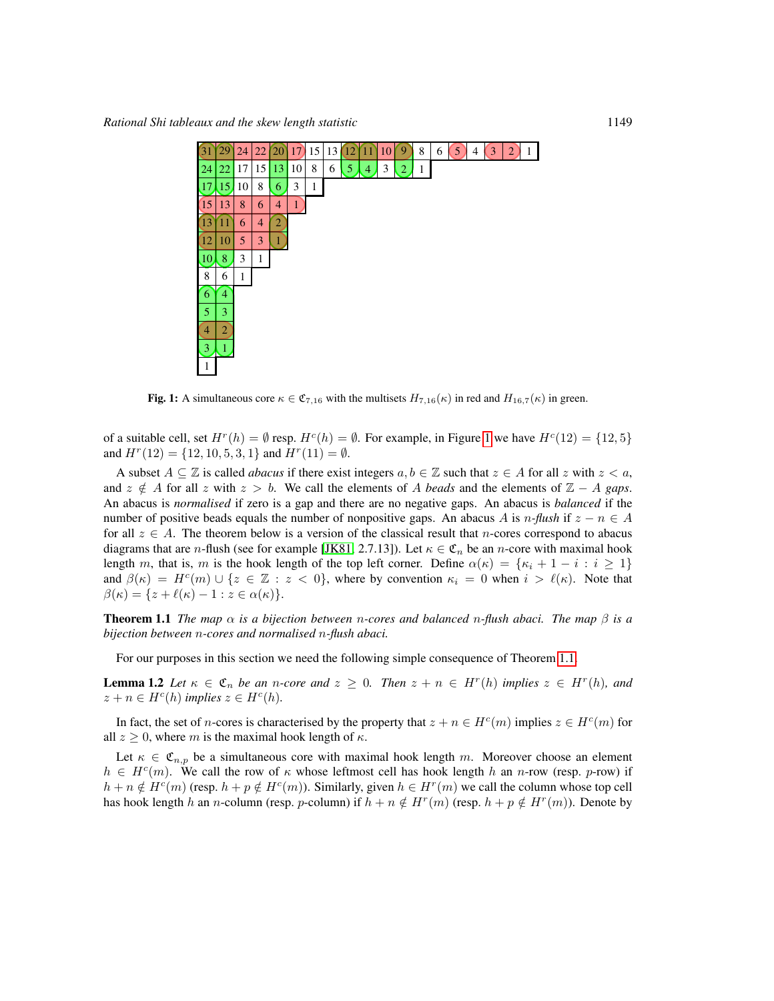

<span id="page-2-0"></span>Fig. 1: A simultaneous core  $\kappa \in \mathfrak{C}_{7,16}$  with the multisets  $H_{7,16}(\kappa)$  in red and  $H_{16,7}(\kappa)$  in green.

of a suitable cell, set  $H^r(h) = \emptyset$  resp.  $H^c(h) = \emptyset$ . For example, in Figure [1](#page-2-0) we have  $H^c(12) = \{12, 5\}$ and  $H^r(12) = \{12, 10, 5, 3, 1\}$  and  $H^r(11) = \emptyset$ .

A subset  $A \subseteq \mathbb{Z}$  is called *abacus* if there exist integers  $a, b \in \mathbb{Z}$  such that  $z \in A$  for all z with  $z < a$ , and  $z \notin A$  for all z with  $z > b$ . We call the elements of A *beads* and the elements of  $\mathbb{Z} - A$  *gaps*. An abacus is *normalised* if zero is a gap and there are no negative gaps. An abacus is *balanced* if the number of positive beads equals the number of nonpositive gaps. An abacus A is  $n$ -flush if  $z - n \in A$ for all  $z \in A$ . The theorem below is a version of the classical result that *n*-cores correspond to abacus diagrams that are *n*-flush (see for example [\[JK81,](#page-11-7) 2.7.13]). Let  $\kappa \in \mathfrak{C}_n$  be an *n*-core with maximal hook length m, that is, m is the hook length of the top left corner. Define  $\alpha(\kappa) = {\kappa_i + 1 - i : i \geq 1}$ and  $\beta(\kappa) = H^c(m) \cup \{z \in \mathbb{Z} : z < 0\}$ , where by convention  $\kappa_i = 0$  when  $i > \ell(\kappa)$ . Note that  $\beta(\kappa) = \{z + \ell(\kappa) - 1 : z \in \alpha(\kappa)\}.$ 

<span id="page-2-1"></span>Theorem 1.1 *The map* α *is a bijection between* n*-cores and balanced* n*-flush abaci. The map* β *is a bijection between* n*-cores and normalised* n*-flush abaci.*

For our purposes in this section we need the following simple consequence of Theorem [1.1.](#page-2-1)

**Lemma 1.2** Let  $\kappa \in \mathfrak{C}_n$  be an *n*-core and  $z \geq 0$ . Then  $z + n \in H^r(h)$  implies  $z \in H^r(h)$ , and  $z + n \in H<sup>c</sup>(h)$  *implies*  $z \in H<sup>c</sup>(h)$ *.* 

In fact, the set of *n*-cores is characterised by the property that  $z + n \in H^c(m)$  implies  $z \in H^c(m)$  for all  $z \geq 0$ , where m is the maximal hook length of  $\kappa$ .

Let  $\kappa \in \mathfrak{C}_{n,p}$  be a simultaneous core with maximal hook length m. Moreover choose an element  $h \in H^c(m)$ . We call the row of  $\kappa$  whose leftmost cell has hook length h an n-row (resp. p-row) if  $h + n \notin H^c(m)$  (resp.  $h + p \notin H^c(m)$ ). Similarly, given  $h \in H^r(m)$  we call the column whose top cell has hook length h an n-column (resp. p-column) if  $h + n \notin H^r(m)$  (resp.  $h + p \notin H^r(m)$ ). Denote by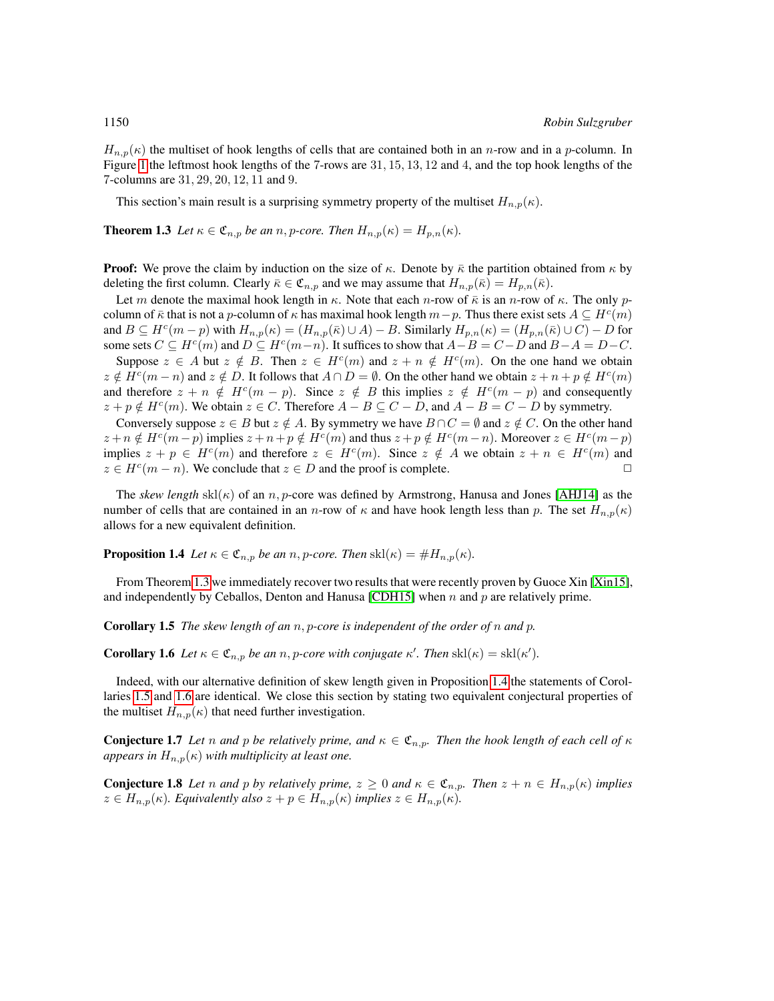$H_{n,p}(\kappa)$  the multiset of hook lengths of cells that are contained both in an n-row and in a p-column. In Figure [1](#page-2-0) the leftmost hook lengths of the 7-rows are 31, 15, 13, 12 and 4, and the top hook lengths of the 7-columns are 31, 29, 20, 12, 11 and 9.

This section's main result is a surprising symmetry property of the multiset  $H_{n,p}(\kappa)$ .

<span id="page-3-0"></span>**Theorem 1.3** Let  $\kappa \in \mathfrak{C}_{n,p}$  be an n, p-core. Then  $H_{n,p}(\kappa) = H_{p,n}(\kappa)$ .

**Proof:** We prove the claim by induction on the size of  $\kappa$ . Denote by  $\bar{\kappa}$  the partition obtained from  $\kappa$  by deleting the first column. Clearly  $\bar{\kappa} \in \mathfrak{C}_{n,p}$  and we may assume that  $H_{n,p}(\bar{\kappa}) = H_{p,n}(\bar{\kappa})$ .

Let m denote the maximal hook length in  $\kappa$ . Note that each n-row of  $\bar{\kappa}$  is an n-row of  $\kappa$ . The only pcolumn of  $\bar{\kappa}$  that is not a p-column of  $\kappa$  has maximal hook length  $m-p$ . Thus there exist sets  $A \subseteq H^c(m)$ and  $B \subseteq H^c(m-p)$  with  $H_{n,p}(\kappa) = (H_{n,p}(\bar{\kappa}) \cup A) - B$ . Similarly  $H_{p,n}(\kappa) = (H_{p,n}(\bar{\kappa}) \cup C) - D$  for some sets  $C \subseteq H^c(m)$  and  $D \subseteq H^c(m-n)$ . It suffices to show that  $A-B=C-D$  and  $B-A=D-C$ .

Suppose  $z \in A$  but  $z \notin B$ . Then  $z \in H^c(m)$  and  $z + n \notin H^c(m)$ . On the one hand we obtain  $z \notin H^c(m-n)$  and  $z \notin D$ . It follows that  $A \cap D = \emptyset$ . On the other hand we obtain  $z + n + p \notin H^c(m)$ and therefore  $z + n \notin H^c(m - p)$ . Since  $z \notin B$  this implies  $z \notin H^c(m - p)$  and consequently  $z + p \notin H^c(m)$ . We obtain  $z \in C$ . Therefore  $A - B \subseteq C - D$ , and  $A - B = C - D$  by symmetry.

Conversely suppose  $z \in B$  but  $z \notin A$ . By symmetry we have  $B \cap C = \emptyset$  and  $z \notin C$ . On the other hand  $z + n \notin H^c(m-p)$  implies  $z + n + p \notin H^c(m)$  and thus  $z + p \notin H^c(m-n)$ . Moreover  $z \in H^c(m-p)$ implies  $z + p \in H^c(m)$  and therefore  $z \in H^c(m)$ . Since  $z \notin A$  we obtain  $z + n \in H^c(m)$  and  $z \in H^c(m - n)$ . We conclude that  $z \in D$  and the proof is complete.

The *skew length*  $\text{skl}(\kappa)$  of an n, p-core was defined by Armstrong, Hanusa and Jones [\[AHJ14\]](#page-10-0) as the number of cells that are contained in an n-row of  $\kappa$  and have hook length less than p. The set  $H_{n,p}(\kappa)$ allows for a new equivalent definition.

<span id="page-3-1"></span>**Proposition 1.4** *Let*  $\kappa \in \mathfrak{C}_{n,p}$  *be an* n, p-core. Then  $\text{skl}(\kappa) = \#H_{n,p}(\kappa)$ *.* 

From Theorem [1.3](#page-3-0) we immediately recover two results that were recently proven by Guoce Xin [\[Xin15\]](#page-11-1), and independently by Ceballos, Denton and Hanusa [\[CDH15\]](#page-11-2) when  $n$  and  $p$  are relatively prime.

<span id="page-3-2"></span>Corollary 1.5 *The skew length of an* n, p*-core is independent of the order of* n *and* p*.*

<span id="page-3-3"></span>**Corollary 1.6** Let  $\kappa \in \mathfrak{C}_{n,p}$  be an n, p-core with conjugate  $\kappa'$ . Then  $\text{skl}(\kappa) = \text{skl}(\kappa')$ .

Indeed, with our alternative definition of skew length given in Proposition [1.4](#page-3-1) the statements of Corollaries [1.5](#page-3-2) and [1.6](#page-3-3) are identical. We close this section by stating two equivalent conjectural properties of the multiset  $H_{n,p}(\kappa)$  that need further investigation.

**Conjecture 1.7** *Let* n and p be relatively prime, and  $\kappa \in \mathfrak{C}_{n,p}$ . Then the hook length of each cell of  $\kappa$ *appears in*  $H_{n,p}(\kappa)$  *with multiplicity at least one.* 

**Conjecture 1.8** Let *n* and *p* by relatively prime,  $z \ge 0$  and  $\kappa \in \mathfrak{C}_{n,p}$ . Then  $z + n \in H_{n,p}(\kappa)$  implies  $z \in H_{n,p}(\kappa)$ *. Equivalently also*  $z + p \in H_{n,p}(\kappa)$  *implies*  $z \in H_{n,p}(\kappa)$ *.*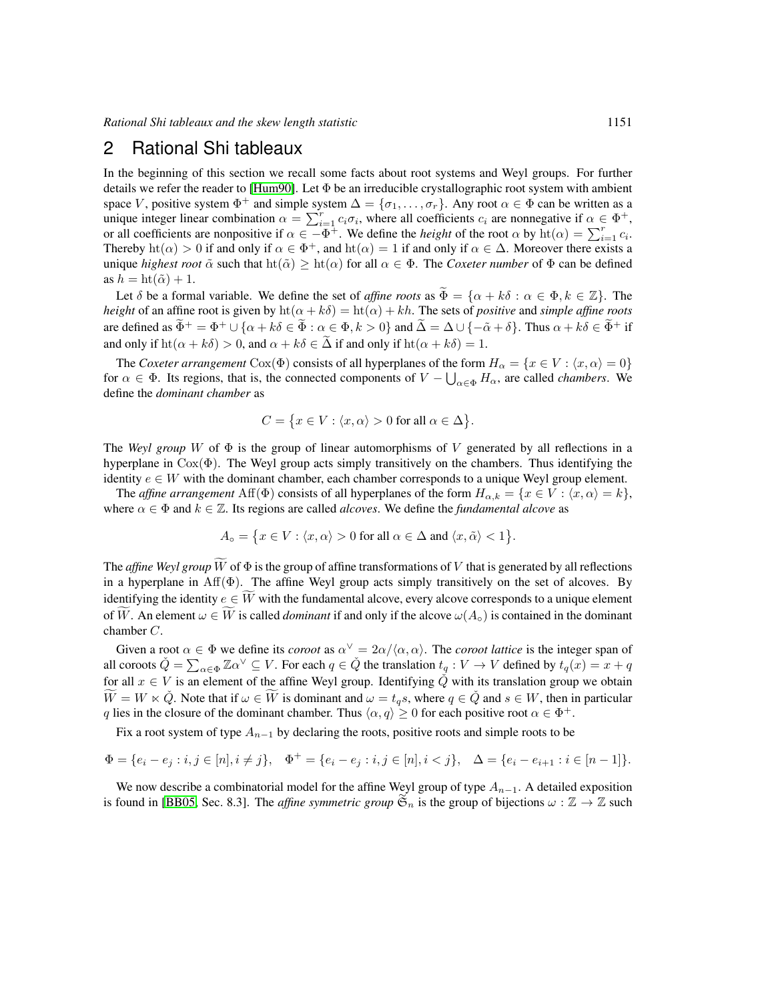# <span id="page-4-0"></span>2 Rational Shi tableaux

In the beginning of this section we recall some facts about root systems and Weyl groups. For further details we refer the reader to [\[Hum90\]](#page-11-8). Let Φ be an irreducible crystallographic root system with ambient space V, positive system  $\Phi^+$  and simple system  $\Delta = {\sigma_1, \ldots, \sigma_r}$ . Any root  $\alpha \in \Phi$  can be written as a unique integer linear combination  $\alpha = \sum_{i=1}^{r} c_i \sigma_i$ , where all coefficients  $c_i$  are nonnegative if  $\alpha \in \Phi^+$ , or all coefficients are nonpositive if  $\alpha \in -\Phi^+$ . We define the *height* of the root  $\alpha$  by  $\text{ht}(\alpha) = \sum_{i=1}^r c_i$ . Thereby  $\text{ht}(\alpha) > 0$  if and only if  $\alpha \in \Phi^+$ , and  $\text{ht}(\alpha) = 1$  if and only if  $\alpha \in \Delta$ . Moreover there exists a unique *highest root*  $\tilde{\alpha}$  such that  $\text{ht}(\tilde{\alpha}) \geq \text{ht}(\alpha)$  for all  $\alpha \in \Phi$ . The *Coxeter number* of  $\Phi$  can be defined as  $h = ht(\tilde{\alpha}) + 1$ .

Let  $\delta$  be a formal variable. We define the set of *affine roots* as  $\widetilde{\Phi} = {\alpha + k\delta : \alpha \in \Phi, k \in \mathbb{Z}}$ . The *height* of an affine root is given by  $ht(\alpha + k\delta) = ht(\alpha) + kh$ . The sets of *positive* and *simple affine roots* are defined as  $\tilde{\Phi}^+ = \Phi^+ \cup \{\alpha + k\delta \in \tilde{\Phi} : \alpha \in \Phi, k > 0\}$  and  $\tilde{\Delta} = \Delta \cup \{-\tilde{\alpha} + \delta\}$ . Thus  $\alpha + k\delta \in \tilde{\Phi}^+$  if and only if  $\text{ht}(\alpha + k\delta) > 0$ , and  $\alpha + k\delta \in \tilde{\Delta}$  if and only if  $\text{ht}(\alpha + k\delta) = 1$ .

The *Coxeter arrangement* Cox( $\Phi$ ) consists of all hyperplanes of the form  $H_{\alpha} = \{x \in V : \langle x, \alpha \rangle = 0\}$ for  $\alpha \in \Phi$ . Its regions, that is, the connected components of  $V - \bigcup_{\alpha \in \Phi} H_{\alpha}$ , are called *chambers*. We define the *dominant chamber* as

$$
C = \{x \in V : \langle x, \alpha \rangle > 0 \text{ for all } \alpha \in \Delta\}.
$$

The *Weyl group* W of  $\Phi$  is the group of linear automorphisms of V generated by all reflections in a hyperplane in  $Cox(\Phi)$ . The Weyl group acts simply transitively on the chambers. Thus identifying the identity  $e \in W$  with the dominant chamber, each chamber corresponds to a unique Weyl group element.

The *affine arrangement* Aff( $\Phi$ ) consists of all hyperplanes of the form  $H_{\alpha,k} = \{x \in V : \langle x, \alpha \rangle = k\},\$ where  $\alpha \in \Phi$  and  $k \in \mathbb{Z}$ . Its regions are called *alcoves*. We define the *fundamental alcove* as

$$
A_{\circ} = \{x \in V : \langle x, \alpha \rangle > 0 \text{ for all } \alpha \in \Delta \text{ and } \langle x, \tilde{\alpha} \rangle < 1\}.
$$

The *affine Weyl group*  $\widetilde{W}$  of  $\Phi$  is the group of affine transformations of V that is generated by all reflections in a hyperplane in Aff(Φ). The affine Weyl group acts simply transitively on the set of alcoves. By identifying the identity  $e \in \widetilde{W}$  with the fundamental alcove, every alcove corresponds to a unique element of W. An element  $\omega \in W$  is called *dominant* if and only if the alcove  $\omega(A_{\alpha})$  is contained in the dominant chamber C.

Given a root  $\alpha \in \Phi$  we define its *coroot* as  $\alpha^{\vee} = 2\alpha/\langle \alpha, \alpha \rangle$ . The *coroot lattice* is the integer span of all coroots  $\check{Q} = \sum_{\alpha \in \Phi} \mathbb{Z} \alpha^{\vee} \subseteq V$ . For each  $q \in \check{Q}$  the translation  $t_q : V \to V$  defined by  $t_q(x) = x + q$ for all  $x \in V$  is an element of the affine Weyl group. Identifying  $\check{Q}$  with its translation group we obtain  $W = W \times \check{Q}$ . Note that if  $\omega \in W$  is dominant and  $\omega = t_q s$ , where  $q \in \check{Q}$  and  $s \in W$ , then in particular q lies in the closure of the dominant chamber. Thus  $\langle \alpha, q \rangle \ge 0$  for each positive root  $\alpha \in \Phi^+$ .

Fix a root system of type  $A_{n-1}$  by declaring the roots, positive roots and simple roots to be

$$
\Phi = \{e_i - e_j : i, j \in [n], i \neq j\}, \quad \Phi^+ = \{e_i - e_j : i, j \in [n], i < j\}, \quad \Delta = \{e_i - e_{i+1} : i \in [n-1]\}.
$$

We now describe a combinatorial model for the affine Weyl group of type  $A_{n-1}$ . A detailed exposition is found in [\[BB05,](#page-11-9) Sec. 8.3]. The *affine symmetric group*  $\widetilde{\mathfrak{S}}_n$  is the group of bijections  $\omega : \mathbb{Z} \to \mathbb{Z}$  such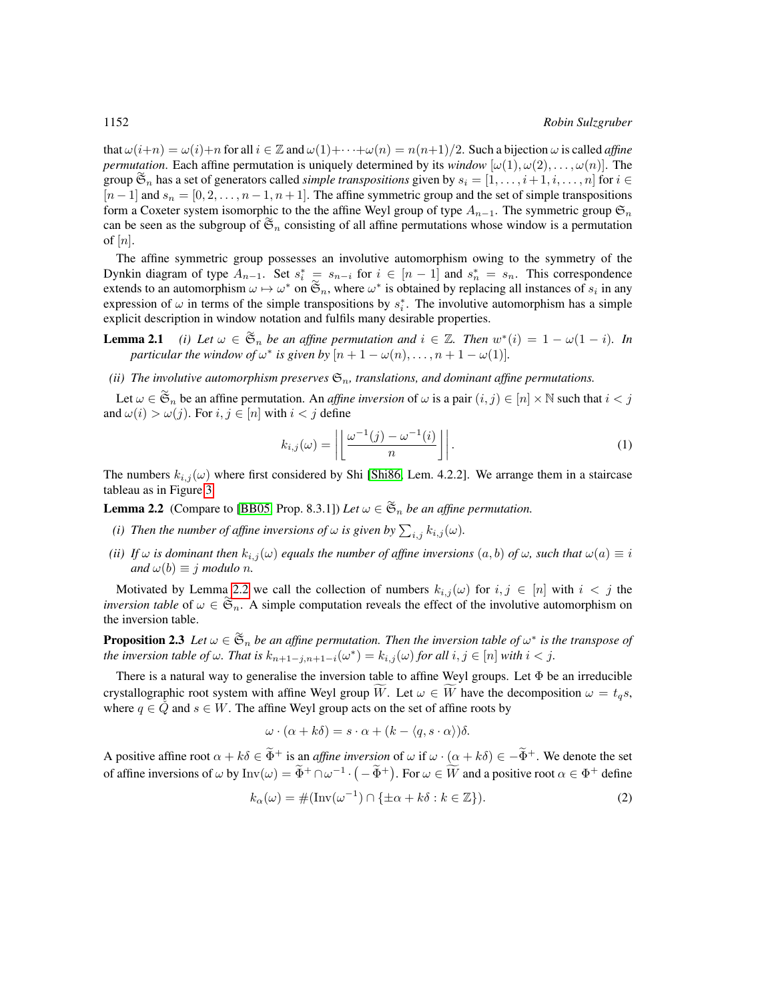that  $\omega(i+n) = \omega(i)+n$  for all  $i \in \mathbb{Z}$  and  $\omega(1)+\cdots+\omega(n) = n(n+1)/2$ . Such a bijection  $\omega$  is called *affine permutation*. Each affine permutation is uniquely determined by its *window*  $[\omega(1), \omega(2), \dots, \omega(n)]$ . The group  $\widetilde{\mathfrak{S}}_n$  has a set of generators called *simple transpositions* given by  $s_i = [1, \ldots, i+1, i, \ldots, n]$  for  $i \in$  $[n-1]$  and  $s_n = [0, 2, \ldots, n-1, n+1]$ . The affine symmetric group and the set of simple transpositions form a Coxeter system isomorphic to the the affine Weyl group of type  $A_{n-1}$ . The symmetric group  $\mathfrak{S}_n$ can be seen as the subgroup of  $\tilde{\mathfrak{S}}_n$  consisting of all affine permutations whose window is a permutation can be seen as the subgroup of  $\tilde{\mathfrak{S}}_n$  consisting of all affine permutations whose window is a permu of  $[n]$ .

The affine symmetric group possesses an involutive automorphism owing to the symmetry of the Dynkin diagram of type  $A_{n-1}$ . Set  $s_i^* = s_{n-i}$  for  $i \in [n-1]$  and  $s_n^* = s_n$ . This correspondence extends to an automorphism  $\omega \mapsto \omega^*$  on  $\widetilde{\mathfrak{S}}_n$ , where  $\omega^*$  is obtained by replacing all instances of  $s_i$  in any expression of  $\omega$  in terms of the simple transpositions by  $s_i^*$ . The involutive automorphism has a simple explicit description in window notation and fulfils many desirable properties.

<span id="page-5-1"></span>**Lemma 2.1** *(i)* Let  $\omega \in \mathfrak{S}_n$  be an affine permutation and  $i \in \mathbb{Z}$ . Then  $w^*(i) = 1 - \omega(1 - i)$ . In *particular the window of*  $\omega^*$  *is given by*  $[n+1-\omega(n), \ldots, n+1-\omega(1)]$ *.* 

*(ii) The involutive automorphism preserves*  $\mathfrak{S}_n$ *, translations, and dominant affine permutations.* 

Let  $\omega \in \mathfrak{S}_n$  be an affine permutation. An *affine inversion* of  $\omega$  is a pair  $(i, j) \in [n] \times \mathbb{N}$  such that  $i < j$ and  $\omega(i) > \omega(j)$ . For  $i, j \in [n]$  with  $i < j$  define

<span id="page-5-0"></span>
$$
k_{i,j}(\omega) = \left| \left\lfloor \frac{\omega^{-1}(j) - \omega^{-1}(i)}{n} \right\rfloor \right|.
$$
 (1)

The numbers  $k_{i,j}(\omega)$  where first considered by Shi [\[Shi86,](#page-11-10) Lem. 4.2.2]. We arrange them in a staircase tableau as in Figure [3.](#page-9-1)

**Lemma 2.2** (Compare to [\[BB05,](#page-11-9) Prop. 8.3.1]) *Let*  $\omega \in \mathfrak{S}_n$  *be an affine permutation.* 

- *(i) Then the number of affine inversions of*  $\omega$  *is given by*  $\sum_{i,j} k_{i,j}(\omega)$ *.*
- *(ii) If*  $\omega$  *is dominant then*  $k_{i,j}(\omega)$  *equals the number of affine inversions*  $(a, b)$  *of*  $\omega$ *, such that*  $\omega(a) \equiv i$ *and*  $\omega(b) \equiv j \text{ modulo } n$ .

Motivated by Lemma [2.2](#page-5-0) we call the collection of numbers  $k_{i,j}(\omega)$  for  $i, j \in [n]$  with  $i < j$  the *inversion table* of  $\omega \in \tilde{\mathfrak{S}}_n$ . A simple computation reveals the effect of the involutive automorphism on the inversion table.

**Proposition 2.3** Let  $\omega \in \mathfrak{S}_n$  be an affine permutation. Then the inversion table of  $\omega^*$  is the transpose of *the inversion table of*  $\omega$ *. That is*  $k_{n+1-j,n+1-i}(\omega^*) = k_{i,j}(\omega)$  *for all*  $i, j \in [n]$  *with*  $i < j$ *.* 

There is a natural way to generalise the inversion table to affine Weyl groups. Let  $\Phi$  be an irreducible crystallographic root system with affine Weyl group  $\overline{W}$ . Let  $\omega \in \overline{W}$  have the decomposition  $\omega = t_a s$ , where  $q \in \check{Q}$  and  $s \in W$ . The affine Weyl group acts on the set of affine roots by

$$
\omega \cdot (\alpha + k\delta) = s \cdot \alpha + (k - \langle q, s \cdot \alpha \rangle) \delta.
$$

A positive affine root  $\alpha + k\delta \in \tilde{\Phi}^+$  is an *affine inversion* of  $\omega$  if  $\omega \cdot (\alpha + k\delta) \in -\tilde{\Phi}^+$ . We denote the set of affine inversions of  $\omega$  by  $\text{Inv}(\omega) = \tilde{\Phi}^+ \cap \omega^{-1} \cdot (-\tilde{\Phi}^+)$ . For  $\omega \in \tilde{W}$  and a positive root  $\alpha \in \Phi^+$  define

$$
k_{\alpha}(\omega) = \#(\text{Inv}(\omega^{-1}) \cap \{\pm \alpha + k\delta : k \in \mathbb{Z}\}).\tag{2}
$$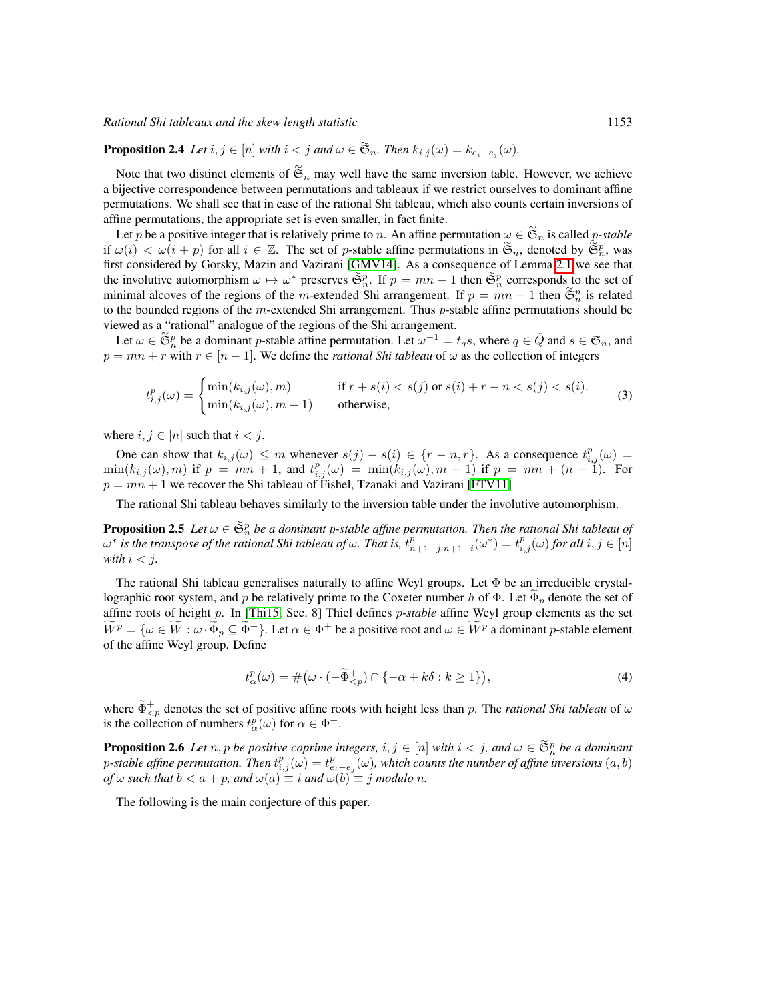*Rational Shi tableaux and the skew length statistic* 1153

**Proposition 2.4** *Let*  $i, j \in [n]$  *with*  $i < j$  *and*  $\omega \in \mathfrak{S}_n$ *. Then*  $k_{i,j}(\omega) = k_{e_i-e_j}(\omega)$ *.* 

Note that two distinct elements of  $\tilde{\mathfrak{S}}_n$  may well have the same inversion table. However, we achieve a bijective correspondence between permutations and tableaux if we restrict ourselves to dominant affine permutations. We shall see that in case of the rational Shi tableau, which also counts certain inversions of affine permutations, the appropriate set is even smaller, in fact finite.

Let p be a positive integer that is relatively prime to n. An affine permutation  $\omega \in \mathfrak{S}_n$  is called p-stable if  $\omega(i) < \omega(i+p)$  for all  $i \in \mathbb{Z}$ . The set of p-stable affine permutations in  $\tilde{\mathfrak{S}}_n$ , denoted by  $\tilde{\mathfrak{S}}_n^p$ , was first considered by Gorsky, Mazin and Vazirani [\[GMV14\]](#page-11-4). As a consequence of Lemma [2.1](#page-5-1) we see that the involutive automorphism  $\omega \mapsto \omega^*$  preserves  $\widetilde{\mathfrak{S}}_n^p$ . If  $p = mn + 1$  then  $\widetilde{\mathfrak{S}}_n^p$  corresponds to the set of minimal alcoves of the regions of the m-extended Shi arrangement. If  $p = mn - 1$  then  $\mathfrak{S}_n^p$  is related to the bounded regions of the m-extended Shi arrangement. Thus  $p$ -stable affine permutations should be viewed as a "rational" analogue of the regions of the Shi arrangement.

Let  $\omega \in \mathfrak{S}_n^p$  be a dominant p-stable affine permutation. Let  $\omega^{-1} = t_q s$ , where  $q \in \tilde{Q}$  and  $s \in \mathfrak{S}_n$ , and  $p = mn + r$  with  $r \in [n - 1]$ . We define the *rational Shi tableau* of  $\omega$  as the collection of integers

$$
t_{i,j}^p(\omega) = \begin{cases} \min(k_{i,j}(\omega), m) & \text{if } r + s(i) < s(j) \text{ or } s(i) + r - n < s(j) < s(i).\\ \min(k_{i,j}(\omega), m + 1) & \text{otherwise,} \end{cases} \tag{3}
$$

where  $i, j \in [n]$  such that  $i < j$ .

One can show that  $k_{i,j}(\omega) \leq m$  whenever  $s(j) - s(i) \in \{r - n, r\}$ . As a consequence  $t_{i,j}^p(\omega) =$  $\min(k_{i,j}(\omega), m)$  if  $p = mn + 1$ , and  $t^{p}_{i,j}(\omega) = \min(k_{i,j}(\omega), m + 1)$  if  $p = mn + (n - 1)$ . For  $p = mn + 1$  we recover the Shi tableau of Fishel, Tzanaki and Vazirani [\[FTV11\]](#page-11-3)

The rational Shi tableau behaves similarly to the inversion table under the involutive automorphism.

**Proposition 2.5** Let  $\omega \in \mathfrak{S}_n^p$  be a dominant p-stable affine permutation. Then the rational Shi tableau of  $\omega^*$  is the transpose of the rational Shi tableau of  $\omega$ . That is,  $t^p_{n+1-j,n+1-i}(\omega^*)=t^p_{i,j}(\omega)$  for all  $i,j\in[n]$ *with*  $i < j$ .

The rational Shi tableau generalises naturally to affine Weyl groups. Let Φ be an irreducible crystallographic root system, and p be relatively prime to the Coxeter number h of  $\Phi$ . Let  $\Phi_p$  denote the set of affine roots of height p. In [\[Thi15,](#page-11-5) Sec. 8] Thiel defines p*-stable* affine Weyl group elements as the set  $\widetilde{W}^p = \{ \omega \in \widetilde{W} : \omega \cdot \widetilde{\Phi}_p \subseteq \widetilde{\Phi}^+ \}.$  Let  $\alpha \in \Phi^+$  be a positive root and  $\omega \in \widetilde{W}^p$  a dominant p-stable element of the affine Weyl group. Define

<span id="page-6-1"></span>
$$
t_{\alpha}^{p}(\omega) = \#(\omega \cdot (-\widetilde{\Phi}_{
$$

where  $\tilde{\Phi}_{\leq p}^{+}$  denotes the set of positive affine roots with height less than p. The *rational Shi tableau* of  $\omega$ is the collection of numbers  $t_{\alpha}^{p}(\omega)$  for  $\alpha \in \Phi^{+}$ .

**Proposition 2.6** Let  $n, p$  be positive coprime integers,  $i, j \in [n]$  with  $i < j$ , and  $\omega \in \mathfrak{S}_n^p$  be a dominant p-stable affine permutation. Then  $t_{i,j}^p(\omega)=t_{e_i-e_j}^p(\omega)$ , which counts the number of affine inversions  $(a,b)$ *of*  $\omega$  *such that*  $b < a + p$ *, and*  $\omega(a) \equiv i$  *and*  $\omega(b) \equiv j$  *modulo n*.

<span id="page-6-0"></span>The following is the main conjecture of this paper.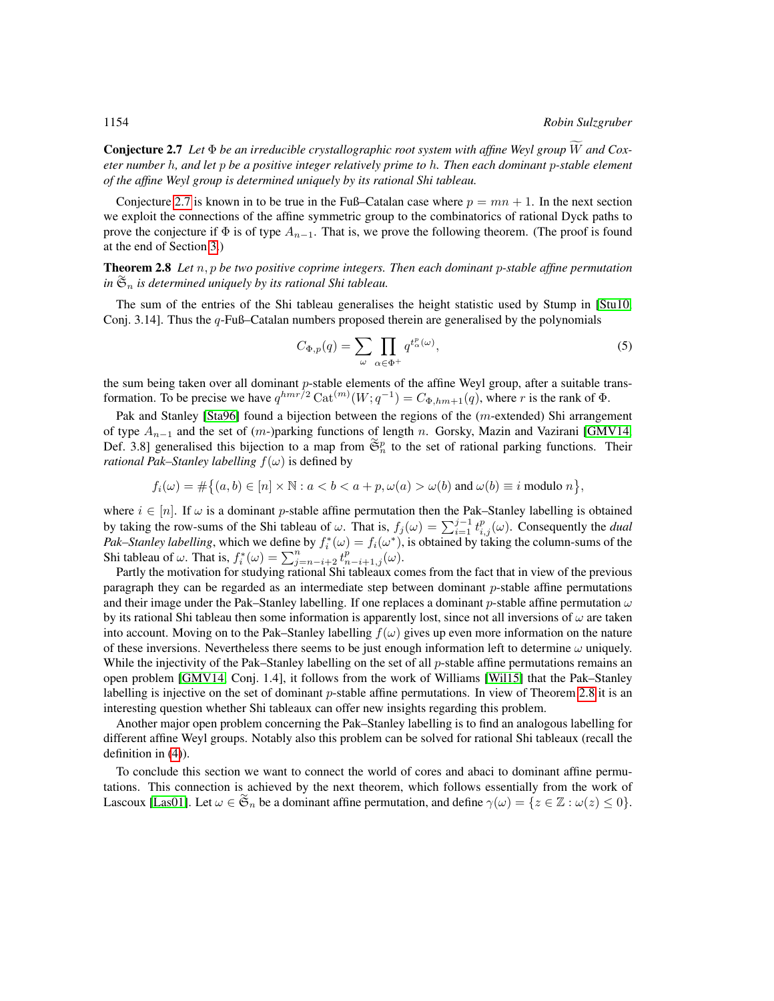**Conjecture 2.7** Let  $\Phi$  *be an irreducible crystallographic root system with affine Weyl group*  $\widetilde{W}$  *and Coxeter number* h*, and let* p *be a positive integer relatively prime to* h*. Then each dominant* p*-stable element of the affine Weyl group is determined uniquely by its rational Shi tableau.*

Conjecture [2.7](#page-6-0) is known in to be true in the Fuß–Catalan case where  $p = mn + 1$ . In the next section we exploit the connections of the affine symmetric group to the combinatorics of rational Dyck paths to prove the conjecture if  $\Phi$  is of type  $A_{n-1}$ . That is, we prove the following theorem. (The proof is found at the end of Section [3.](#page-8-0))

<span id="page-7-0"></span>Theorem 2.8 *Let* n, p *be two positive coprime integers. Then each dominant* p*-stable affine permutation in* ∼ S<sup>n</sup> *is determined uniquely by its rational Shi tableau.*

The sum of the entries of the Shi tableau generalises the height statistic used by Stump in [\[Stu10,](#page-11-11) Conj. 3.14]. Thus the q-Fuß–Catalan numbers proposed therein are generalised by the polynomials

$$
C_{\Phi,p}(q) = \sum_{\omega} \prod_{\alpha \in \Phi^+} q^{t_{\alpha}^p(\omega)},\tag{5}
$$

the sum being taken over all dominant  $p$ -stable elements of the affine Weyl group, after a suitable transformation. To be precise we have  $q^{hmr\bar{}/2}$  Cat<sup> $(m)(W;q^{-1}) = C_{\Phi,hm+1}(q)$ , where r is the rank of  $\Phi$ .</sup>

Pak and Stanley [\[Sta96\]](#page-11-12) found a bijection between the regions of the (m-extended) Shi arrangement of type  $A_{n-1}$  and the set of  $(m-)$ parking functions of length n. Gorsky, Mazin and Vazirani [\[GMV14,](#page-11-4) Def. 3.8] generalised this bijection to a map from  $\tilde{\mathfrak{S}}_n^p$  to the set of rational parking functions. Their *rational Pak–Stanley labelling*  $f(\omega)$  is defined by

$$
f_i(\omega) = \#\big\{(a, b) \in [n] \times \mathbb{N} : a < b < a + p, \omega(a) > \omega(b) \text{ and } \omega(b) \equiv i \text{ modulo } n \big\},\
$$

where  $i \in [n]$ . If  $\omega$  is a dominant p-stable affine permutation then the Pak–Stanley labelling is obtained by taking the row-sums of the Shi tableau of  $\omega$ . That is,  $f_j(\omega) = \sum_{i=1}^{j-1} t_{i,j}^p(\omega)$ . Consequently the *dual Pak–Stanley labelling*, which we define by  $f_i^*(\omega) = f_i(\omega^*)$ , is obtained by taking the column-sums of the Shi tableau of  $\omega$ . That is,  $f_i^*(\omega) = \sum_{j=n-i+2}^n t_{n-i+1,j}^p(\omega)$ .

Partly the motivation for studying rational Shi tableaux comes from the fact that in view of the previous paragraph they can be regarded as an intermediate step between dominant p-stable affine permutations and their image under the Pak–Stanley labelling. If one replaces a dominant p-stable affine permutation  $\omega$ by its rational Shi tableau then some information is apparently lost, since not all inversions of  $\omega$  are taken into account. Moving on to the Pak–Stanley labelling  $f(\omega)$  gives up even more information on the nature of these inversions. Nevertheless there seems to be just enough information left to determine  $\omega$  uniquely. While the injectivity of the Pak–Stanley labelling on the set of all  $p$ -stable affine permutations remains an open problem [\[GMV14,](#page-11-4) Conj. 1.4], it follows from the work of Williams [\[Wil15\]](#page-11-13) that the Pak–Stanley labelling is injective on the set of dominant  $p$ -stable affine permutations. In view of Theorem [2.8](#page-7-0) it is an interesting question whether Shi tableaux can offer new insights regarding this problem.

Another major open problem concerning the Pak–Stanley labelling is to find an analogous labelling for different affine Weyl groups. Notably also this problem can be solved for rational Shi tableaux (recall the definition in [\(4\)](#page-6-1)).

To conclude this section we want to connect the world of cores and abaci to dominant affine permutations. This connection is achieved by the next theorem, which follows essentially from the work of Lascoux [\[Las01\]](#page-11-14). Let  $\omega \in \mathfrak{S}_n$  be a dominant affine permutation, and define  $\gamma(\omega) = \{z \in \mathbb{Z} : \omega(z) \leq 0\}.$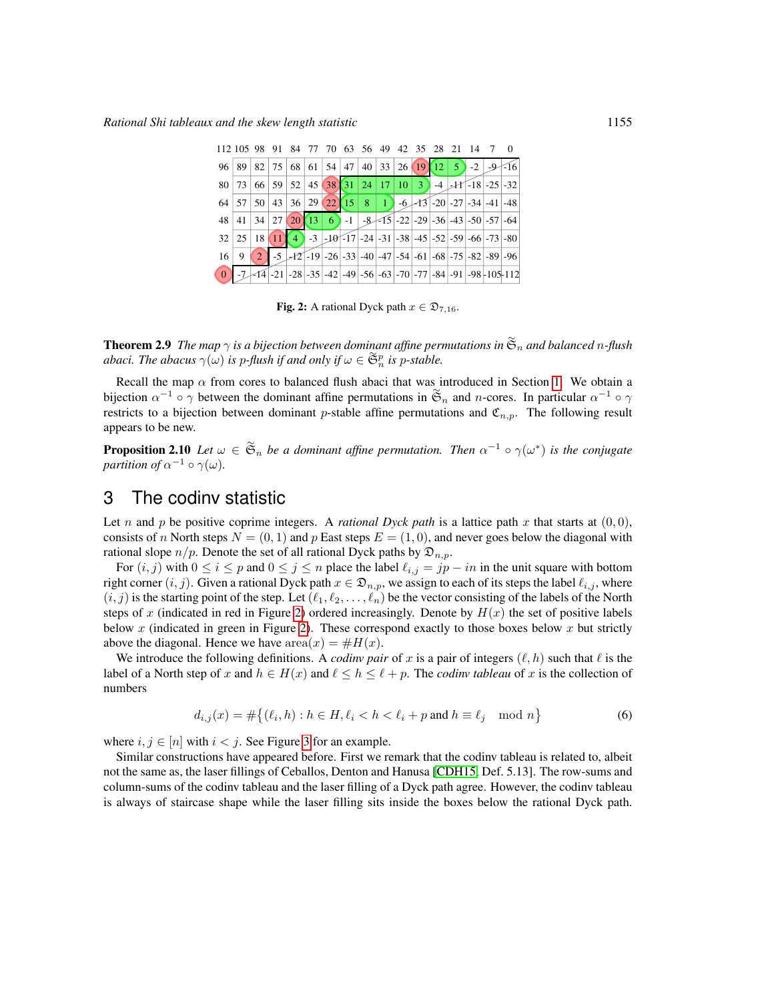| 112 105 98 91 84 77 70 63 56 49 42 35 28 21 14 7 0                                                                                              |  |  |  |  |  |  |  |  |
|-------------------------------------------------------------------------------------------------------------------------------------------------|--|--|--|--|--|--|--|--|
| 96 89 82 75 68 61 54 47 40 33 26 19 12 5 -2 -9 -16                                                                                              |  |  |  |  |  |  |  |  |
| $80 73 66 59 52 45 38 31 24 17 10 3$ -4 -11 -18 -25 -32                                                                                         |  |  |  |  |  |  |  |  |
| 64 57 50 43 36 29 22 15 8 1 -6 -13 -20 -27 -34 -41 -48                                                                                          |  |  |  |  |  |  |  |  |
| 48 41 34 27 20 13 6 -1 -8 -15 -22 -29 -36 -43 -50 -57 -64                                                                                       |  |  |  |  |  |  |  |  |
| $32\left 25\right 18\left 11\right 4$ -3 -10 -17 -24 -31 -38 -45 -52 -59 -66 -73 -80                                                            |  |  |  |  |  |  |  |  |
| $16 \mid 9 \mid 2 \mid -5 \mid -12 \mid -19 \mid -26 \mid -33 \mid -40 \mid -47 \mid -54 \mid -61 \mid -68 \mid -75 \mid -82 \mid -89 \mid -96$ |  |  |  |  |  |  |  |  |
| 0 -7 -14 -21 -28 -35 -42 -49 -56 -63 -70 -77 -84 -91 -98 -105 -112                                                                              |  |  |  |  |  |  |  |  |

<span id="page-8-1"></span>**Fig. 2:** A rational Dyck path  $x \in \mathfrak{D}_{7,16}$ .

**Theorem 2.9** The map  $\gamma$  is a bijection between dominant affine permutations in  $\widetilde{\mathfrak{S}}_n$  and balanced n-flush *abaci. The abacus*  $\gamma(\omega)$  *is p-flush if and only if*  $\omega \in \mathfrak{S}_n^p$  *is p-stable.* 

Recall the map  $\alpha$  from cores to balanced flush abaci that was introduced in Section [1.](#page-1-0) We obtain a bijection  $\alpha^{-1} \circ \gamma$  between the dominant affine permutations in  $\tilde{\mathfrak{S}}_n$  and *n*-cores. In particular  $\alpha^{-1} \circ \gamma$ restricts to a bijection between dominant p-stable affine permutations and  $\mathfrak{C}_{n,p}$ . The following result appears to be new.

**Proposition 2.10** Let  $\omega \in \mathfrak{S}_n$  be a dominant affine permutation. Then  $\alpha^{-1} \circ \gamma(\omega^*)$  is the conjugate *partition of*  $\alpha^{-1} \circ \gamma(\omega)$ .

## <span id="page-8-0"></span>3 The codinv statistic

Let n and p be positive coprime integers. A *rational Dyck path* is a lattice path x that starts at  $(0, 0)$ , consists of n North steps  $N = (0, 1)$  and p East steps  $E = (1, 0)$ , and never goes below the diagonal with rational slope  $n/p$ . Denote the set of all rational Dyck paths by  $\mathfrak{D}_{n,p}$ .

For  $(i, j)$  with  $0 \le i \le p$  and  $0 \le j \le n$  place the label  $\ell_{i,j} = jp - in$  in the unit square with bottom right corner  $(i, j)$ . Given a rational Dyck path  $x \in \mathfrak{D}_{n,p}$ , we assign to each of its steps the label  $\ell_{i,j}$ , where  $(i, j)$  is the starting point of the step. Let  $(\ell_1, \ell_2, \ldots, \ell_n)$  be the vector consisting of the labels of the North steps of x (indicated in red in Figure [2\)](#page-8-1) ordered increasingly. Denote by  $H(x)$  the set of positive labels below  $x$  (indicated in green in Figure [2\)](#page-8-1). These correspond exactly to those boxes below  $x$  but strictly above the diagonal. Hence we have  $area(x) = #H(x)$ .

We introduce the following definitions. A *codinv pair* of x is a pair of integers  $(\ell, h)$  such that  $\ell$  is the label of a North step of x and  $h \in H(x)$  and  $\ell \leq h \leq \ell + p$ . The *codinv tableau* of x is the collection of numbers

$$
d_{i,j}(x) = \#\{ (\ell_i, h) : h \in H, \ell_i < h < \ell_i + p \text{ and } h \equiv \ell_j \mod n \} \tag{6}
$$

where  $i, j \in [n]$  with  $i < j$ . See Figure [3](#page-9-1) for an example.

Similar constructions have appeared before. First we remark that the codinv tableau is related to, albeit not the same as, the laser fillings of Ceballos, Denton and Hanusa [\[CDH15,](#page-11-2) Def. 5.13]. The row-sums and column-sums of the codinv tableau and the laser filling of a Dyck path agree. However, the codinv tableau is always of staircase shape while the laser filling sits inside the boxes below the rational Dyck path.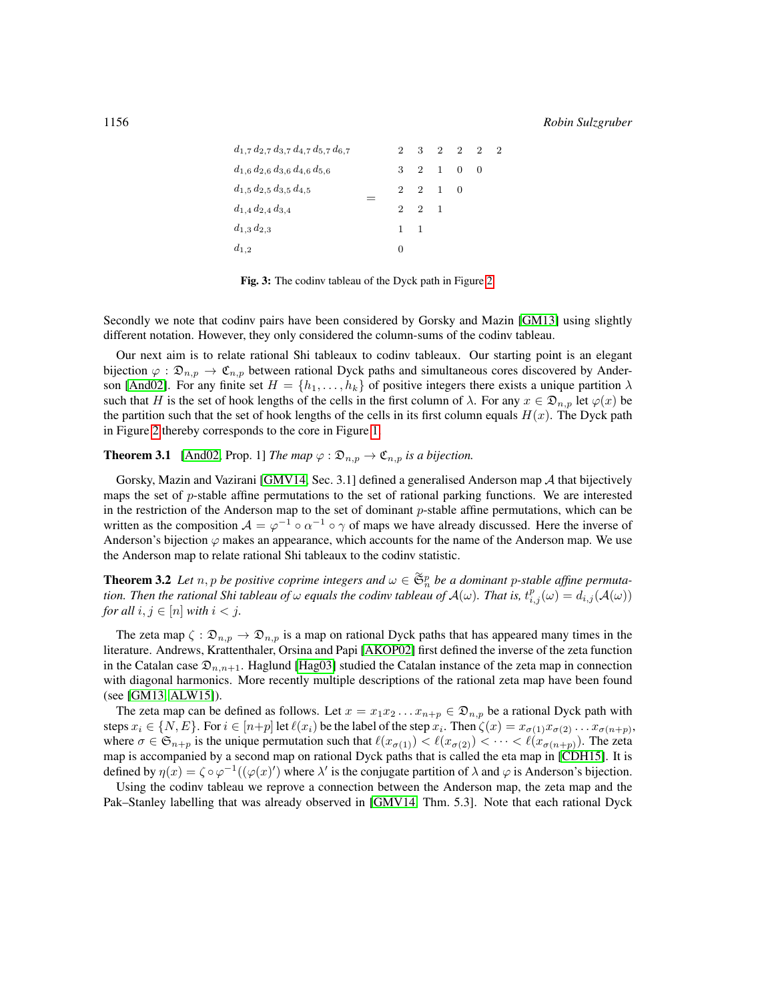$d_{1,2}$  $d_{1,3}\,d_{2,3}$  $d_{1,4} d_{2,4} d_{3,4}$  $d_{1,5}\,d_{2,5}\,d_{3,5}\,d_{4,5}$  $d_{1,6}\,d_{2,6}\,d_{3,6}\,d_{4,6}\,d_{5,6}$  $d_{1,7}\, d_{2,7}\, d_{3,7}\, d_{4,7}\, d_{5,7}\, d_{6,7}$ =  $\Omega$ 1 2 2 3  $\mathfrak{D}$ 1 2 2 2 3 1 1 1  $\mathcal{D}$ 0 0  $\mathcal{D}$ 0 2 2

<span id="page-9-1"></span>Fig. 3: The codinv tableau of the Dyck path in Figure [2.](#page-8-1)

Secondly we note that codinv pairs have been considered by Gorsky and Mazin [\[GM13\]](#page-11-0) using slightly different notation. However, they only considered the column-sums of the codinv tableau.

Our next aim is to relate rational Shi tableaux to codinv tableaux. Our starting point is an elegant bijection  $\varphi : \mathfrak{D}_{n,p} \to \mathfrak{C}_{n,p}$  between rational Dyck paths and simultaneous cores discovered by Ander-son [\[And02\]](#page-11-15). For any finite set  $H = \{h_1, \ldots, h_k\}$  of positive integers there exists a unique partition  $\lambda$ such that H is the set of hook lengths of the cells in the first column of  $\lambda$ . For any  $x \in \mathfrak{D}_{n,p}$  let  $\varphi(x)$  be the partition such that the set of hook lengths of the cells in its first column equals  $H(x)$ . The Dyck path in Figure [2](#page-8-1) thereby corresponds to the core in Figure [1.](#page-2-0)

#### **Theorem 3.1** [\[And02,](#page-11-15) Prop. 1] *The map*  $\varphi : \mathfrak{D}_{n,p} \to \mathfrak{C}_{n,p}$  *is a bijection.*

Gorsky, Mazin and Vazirani [\[GMV14,](#page-11-4) Sec. 3.1] defined a generalised Anderson map  $A$  that bijectively maps the set of  $p$ -stable affine permutations to the set of rational parking functions. We are interested in the restriction of the Anderson map to the set of dominant  $p$ -stable affine permutations, which can be written as the composition  $A = \varphi^{-1} \circ \alpha^{-1} \circ \gamma$  of maps we have already discussed. Here the inverse of Anderson's bijection  $\varphi$  makes an appearance, which accounts for the name of the Anderson map. We use the Anderson map to relate rational Shi tableaux to the codinv statistic.

<span id="page-9-0"></span>**Theorem 3.2** Let  $n, p$  be positive coprime integers and  $\omega \in \mathfrak{S}_n^p$  be a dominant p-stable affine permuta*tion. Then the rational Shi tableau of*  $\omega$  *equals the codinv tableau of*  $A(\omega)$ *. That is,*  $t_{i,j}^p(\omega) = d_{i,j}(A(\omega))$ *for all*  $i, j \in [n]$  *with*  $i < j$ *.* 

The zeta map  $\zeta : \mathfrak{D}_{n,p} \to \mathfrak{D}_{n,p}$  is a map on rational Dyck paths that has appeared many times in the literature. Andrews, Krattenthaler, Orsina and Papi [\[AKOP02\]](#page-10-4) first defined the inverse of the zeta function in the Catalan case  $\mathfrak{D}_{n,n+1}$ . Haglund [\[Hag03\]](#page-11-16) studied the Catalan instance of the zeta map in connection with diagonal harmonics. More recently multiple descriptions of the rational zeta map have been found (see [\[GM13,](#page-11-0) [ALW15\]](#page-10-1)).

The zeta map can be defined as follows. Let  $x = x_1x_2...x_{n+p} \in \mathfrak{D}_{n,p}$  be a rational Dyck path with steps  $x_i \in \{N, E\}$ . For  $i \in [n+p]$  let  $\ell(x_i)$  be the label of the step  $x_i$ . Then  $\zeta(x) = x_{\sigma(1)} x_{\sigma(2)} \dots x_{\sigma(n+p)}$ , where  $\sigma \in \mathfrak{S}_{n+p}$  is the unique permutation such that  $\ell(x_{\sigma(1)}) < \ell(x_{\sigma(2)}) < \cdots < \ell(x_{\sigma(n+p)})$ . The zeta map is accompanied by a second map on rational Dyck paths that is called the eta map in [\[CDH15\]](#page-11-2). It is defined by  $\eta(x) = \zeta \circ \varphi^{-1}((\varphi(x)')$  where  $\lambda'$  is the conjugate partition of  $\lambda$  and  $\varphi$  is Anderson's bijection.

Using the codinv tableau we reprove a connection between the Anderson map, the zeta map and the Pak–Stanley labelling that was already observed in [\[GMV14,](#page-11-4) Thm. 5.3]. Note that each rational Dyck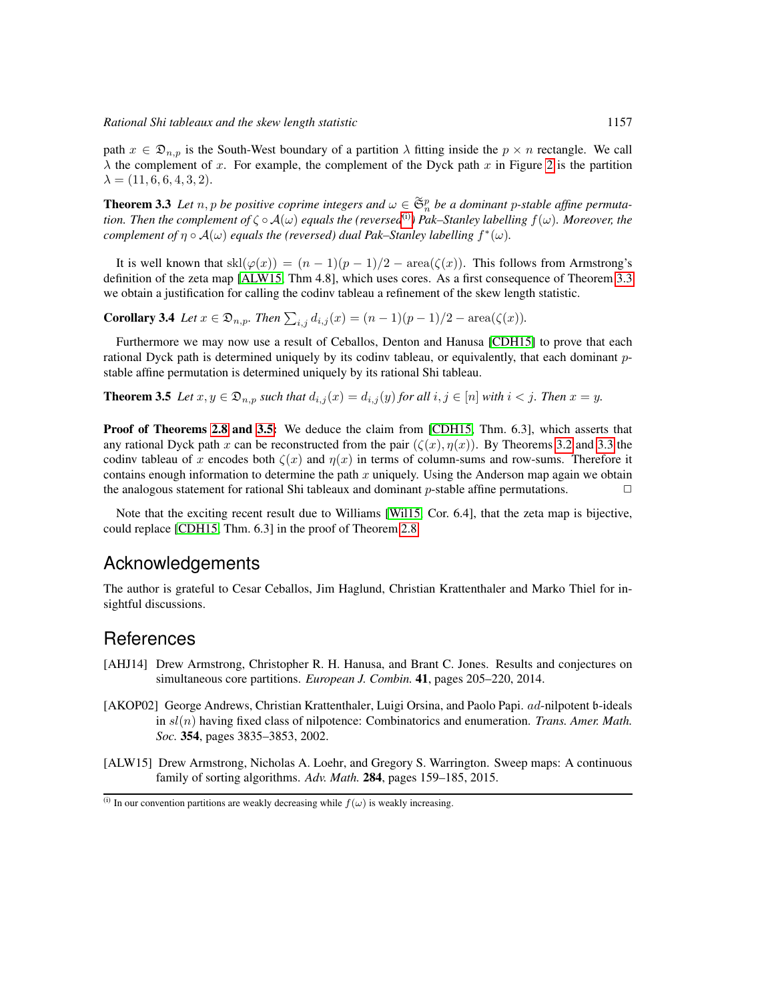path  $x \in \mathfrak{D}_{n,n}$  is the South-West boundary of a partition  $\lambda$  fitting inside the  $p \times n$  rectangle. We call  $\lambda$  the complement of x. For example, the complement of the Dyck path x in Figure [2](#page-8-1) is the partition  $\lambda = (11, 6, 6, 4, 3, 2).$ 

<span id="page-10-3"></span>**Theorem 3.3** Let  $n, p$  be positive coprime integers and  $\omega \in \mathfrak{S}_n^p$  be a dominant p-stable affine permuta*tion. Then the complement of*  $\zeta \circ A(\omega)$  *equals the (reversed*<sup>[\(i\)](#page-10-5)</sup>) Pak–Stanley labelling  $f(\omega)$ *. Moreover, the complement of*  $\eta \circ A(\omega)$  *equals the (reversed) dual Pak–Stanley labelling*  $f^*(\omega)$ *.* 

It is well known that  $\text{skl}(\varphi(x)) = (n-1)(p-1)/2 - \text{area}(\zeta(x))$ . This follows from Armstrong's definition of the zeta map [\[ALW15,](#page-10-1) Thm 4.8], which uses cores. As a first consequence of Theorem [3.3](#page-10-3) we obtain a justification for calling the codinv tableau a refinement of the skew length statistic.

<span id="page-10-2"></span>**Corollary 3.4** *Let*  $x \in \mathfrak{D}_{n,p}$ *. Then*  $\sum_{i,j} d_{i,j}(x) = (n-1)(p-1)/2 - \text{area}(\zeta(x))$ *.* 

Furthermore we may now use a result of Ceballos, Denton and Hanusa [\[CDH15\]](#page-11-2) to prove that each rational Dyck path is determined uniquely by its codinv tableau, or equivalently, that each dominant pstable affine permutation is determined uniquely by its rational Shi tableau.

<span id="page-10-6"></span>**Theorem 3.5** Let  $x, y \in \mathfrak{D}_{n,p}$  such that  $d_{i,j}(x) = d_{i,j}(y)$  for all  $i, j \in [n]$  with  $i < j$ . Then  $x = y$ .

Proof of Theorems [2.8](#page-7-0) and [3.5:](#page-10-6) We deduce the claim from [\[CDH15,](#page-11-2) Thm. 6.3], which asserts that any rational Dyck path x can be reconstructed from the pair  $(\zeta(x), \eta(x))$ . By Theorems [3.2](#page-9-0) and [3.3](#page-10-3) the codinv tableau of x encodes both  $\zeta(x)$  and  $\eta(x)$  in terms of column-sums and row-sums. Therefore it contains enough information to determine the path  $x$  uniquely. Using the Anderson map again we obtain the analogous statement for rational Shi tableaux and dominant p-stable affine permutations.  $\Box$ 

Note that the exciting recent result due to Williams [\[Wil15,](#page-11-13) Cor. 6.4], that the zeta map is bijective, could replace [\[CDH15,](#page-11-2) Thm. 6.3] in the proof of Theorem [2.8.](#page-7-0)

#### Acknowledgements

The author is grateful to Cesar Ceballos, Jim Haglund, Christian Krattenthaler and Marko Thiel for insightful discussions.

#### References

- <span id="page-10-0"></span>[AHJ14] Drew Armstrong, Christopher R. H. Hanusa, and Brant C. Jones. Results and conjectures on simultaneous core partitions. *European J. Combin.* 41, pages 205–220, 2014.
- <span id="page-10-4"></span>[AKOP02] George Andrews, Christian Krattenthaler, Luigi Orsina, and Paolo Papi. ad-nilpotent b-ideals in sl(n) having fixed class of nilpotence: Combinatorics and enumeration. *Trans. Amer. Math. Soc.* 354, pages 3835–3853, 2002.
- <span id="page-10-1"></span>[ALW15] Drew Armstrong, Nicholas A. Loehr, and Gregory S. Warrington. Sweep maps: A continuous family of sorting algorithms. *Adv. Math.* 284, pages 159–185, 2015.

<span id="page-10-5"></span><sup>(</sup>i) In our convention partitions are weakly decreasing while  $f(\omega)$  is weakly increasing.